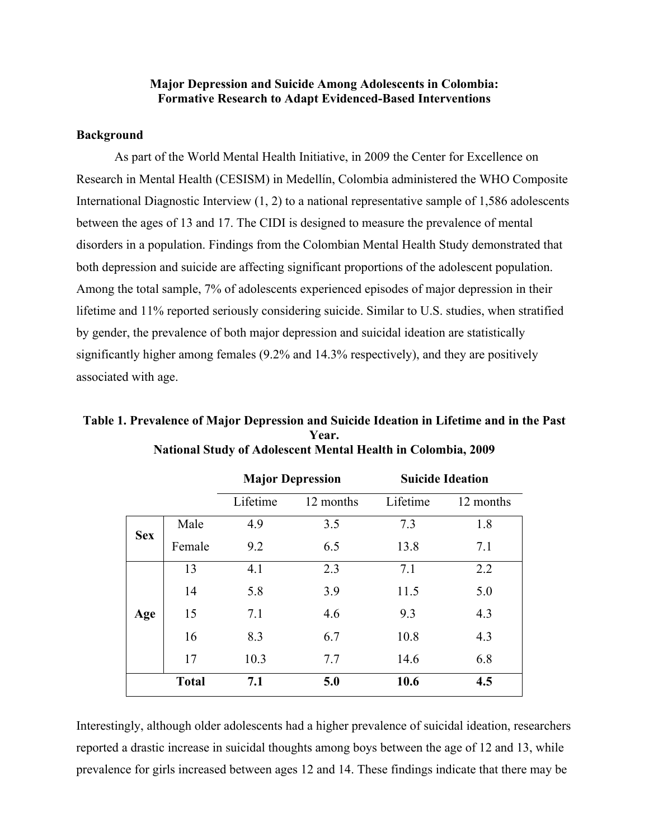## **Major Depression and Suicide Among Adolescents in Colombia: Formative Research to Adapt Evidenced-Based Interventions**

## **Background**

**Age**

As part of the World Mental Health Initiative, in 2009 the Center for Excellence on Research in Mental Health (CESISM) in Medellín, Colombia administered the WHO Composite International Diagnostic Interview (1, 2) to a national representative sample of 1,586 adolescents between the ages of 13 and 17. The CIDI is designed to measure the prevalence of mental disorders in a population. Findings from the Colombian Mental Health Study demonstrated that both depression and suicide are affecting significant proportions of the adolescent population. Among the total sample, 7% of adolescents experienced episodes of major depression in their lifetime and 11% reported seriously considering suicide. Similar to U.S. studies, when stratified by gender, the prevalence of both major depression and suicidal ideation are statistically significantly higher among females (9.2% and 14.3% respectively), and they are positively associated with age.

|            |        | <b>Major Depression</b> |           | <b>Suicide Ideation</b> |           |
|------------|--------|-------------------------|-----------|-------------------------|-----------|
|            |        | Lifetime                | 12 months | Lifetime                | 12 months |
| <b>Sex</b> | Male   | 4.9                     | 3.5       | 73                      | 1.8       |
|            | Female | 9.2                     | 6.5       | 13.8                    | 7.1       |
|            |        |                         | 23        |                         |           |

14 5.8 3.9 11.5 5.0

15 7.1 4.6 9.3 4.3

16 8.3 6.7 10.8 4.3

17 10.3 7.7 14.6 6.8

**Total 7.1 5.0 10.6 4.5**

**Table 1. Prevalence of Major Depression and Suicide Ideation in Lifetime and in the Past Year. National Study of Adolescent Mental Health in Colombia, 2009**

Interestingly, although older adolescents had a higher prevalence of suicidal ideation, researchers reported a drastic increase in suicidal thoughts among boys between the age of 12 and 13, while prevalence for girls increased between ages 12 and 14. These findings indicate that there may be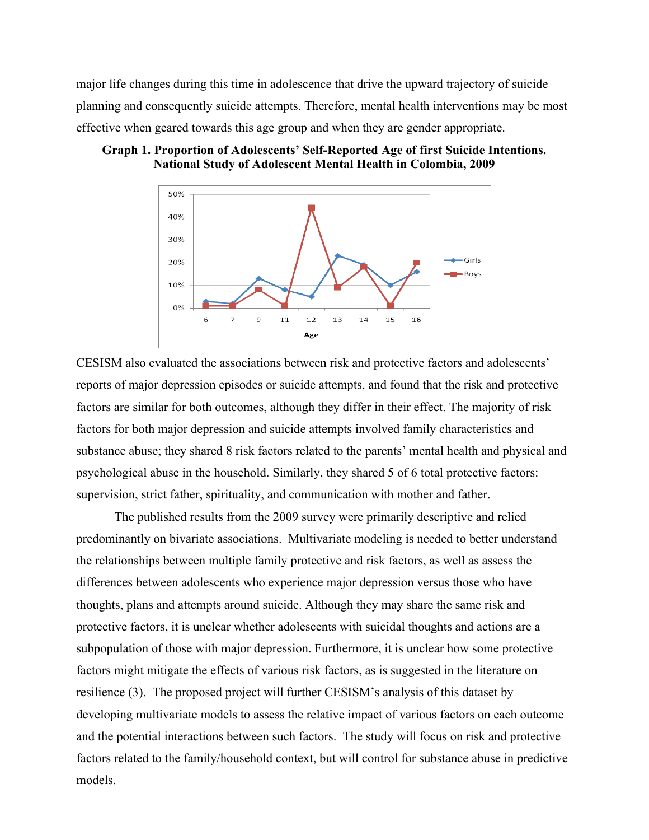major life changes during this time in adolescence that drive the upward trajectory of suicide planning and consequently suicide attempts. Therefore, mental health interventions may be most effective when geared towards this age group and when they are gender appropriate.





CESISM also evaluated the associations between risk and protective factors and adolescents' reports of major depression episodes or suicide attempts, and found that the risk and protective factors are similar for both outcomes, although they differ in their effect. The majority of risk factors for both major depression and suicide attempts involved family characteristics and substance abuse; they shared 8 risk factors related to the parents' mental health and physical and psychological abuse in the household. Similarly, they shared 5 of 6 total protective factors: supervision, strict father, spirituality, and communication with mother and father.

The published results from the 2009 survey were primarily descriptive and relied predominantly on bivariate associations. Multivariate modeling is needed to better understand the relationships between multiple family protective and risk factors, as well as assess the differences between adolescents who experience major depression versus those who have thoughts, plans and attempts around suicide. Although they may share the same risk and protective factors, it is unclear whether adolescents with suicidal thoughts and actions are a subpopulation of those with major depression. Furthermore, it is unclear how some protective factors might mitigate the effects of various risk factors, as is suggested in the literature on resilience (3). The proposed project will further CESISM's analysis of this dataset by developing multivariate models to assess the relative impact of various factors on each outcome and the potential interactions between such factors. The study will focus on risk and protective factors related to the family/household context, but will control for substance abuse in predictive models.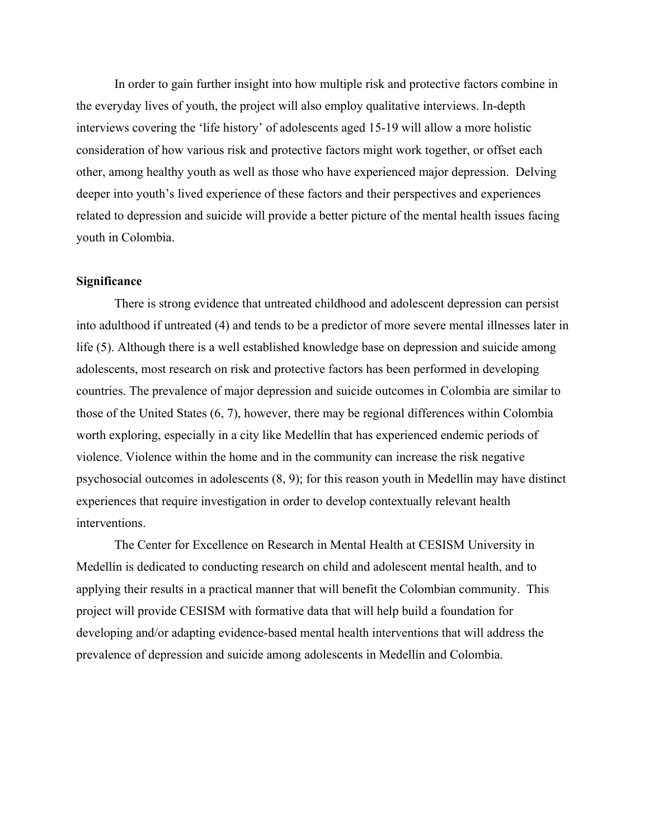In order to gain further insight into how multiple risk and protective factors combine in the everyday lives of youth, the project will also employ qualitative interviews. In-depth interviews covering the 'life history' of adolescents aged 15-19 will allow a more holistic consideration of how various risk and protective factors might work together, or offset each other, among healthy youth as well as those who have experienced major depression. Delving deeper into youth's lived experience of these factors and their perspectives and experiences related to depression and suicide will provide a better picture of the mental health issues facing youth in Colombia.

#### **Significance**

There is strong evidence that untreated childhood and adolescent depression can persist into adulthood if untreated (4) and tends to be a predictor of more severe mental illnesses later in life (5). Although there is a well established knowledge base on depression and suicide among adolescents, most research on risk and protective factors has been performed in developing countries. The prevalence of major depression and suicide outcomes in Colombia are similar to those of the United States (6, 7), however, there may be regional differences within Colombia worth exploring, especially in a city like Medellín that has experienced endemic periods of violence. Violence within the home and in the community can increase the risk negative psychosocial outcomes in adolescents (8, 9); for this reason youth in Medellín may have distinct experiences that require investigation in order to develop contextually relevant health interventions.

The Center for Excellence on Research in Mental Health at CESISM University in Medellín is dedicated to conducting research on child and adolescent mental health, and to applying their results in a practical manner that will benefit the Colombian community. This project will provide CESISM with formative data that will help build a foundation for developing and/or adapting evidence-based mental health interventions that will address the prevalence of depression and suicide among adolescents in Medellín and Colombia.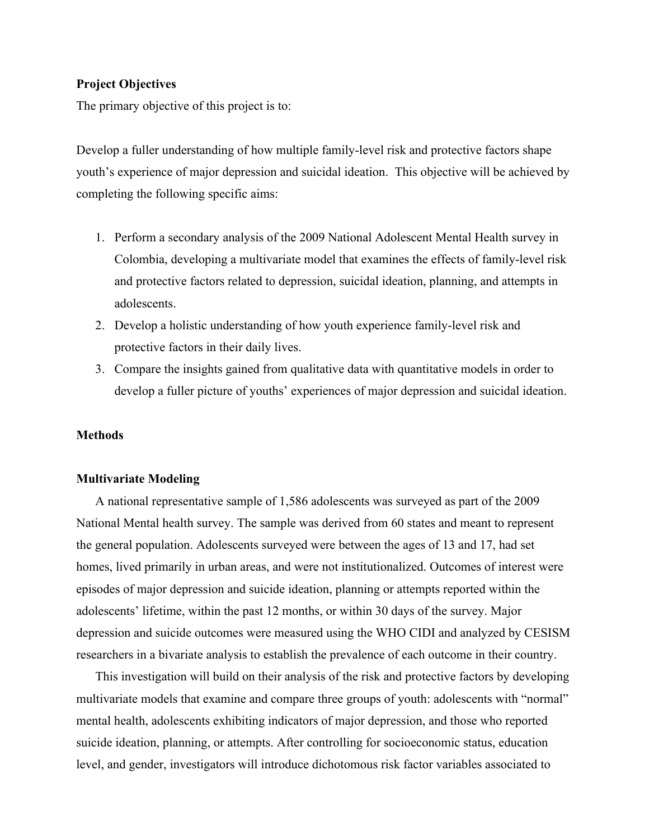## **Project Objectives**

The primary objective of this project is to:

Develop a fuller understanding of how multiple family-level risk and protective factors shape youth's experience of major depression and suicidal ideation. This objective will be achieved by completing the following specific aims:

- 1. Perform a secondary analysis of the 2009 National Adolescent Mental Health survey in Colombia, developing a multivariate model that examines the effects of family-level risk and protective factors related to depression, suicidal ideation, planning, and attempts in adolescents.
- 2. Develop a holistic understanding of how youth experience family-level risk and protective factors in their daily lives.
- 3. Compare the insights gained from qualitative data with quantitative models in order to develop a fuller picture of youths' experiences of major depression and suicidal ideation.

### **Methods**

## **Multivariate Modeling**

A national representative sample of 1,586 adolescents was surveyed as part of the 2009 National Mental health survey. The sample was derived from 60 states and meant to represent the general population. Adolescents surveyed were between the ages of 13 and 17, had set homes, lived primarily in urban areas, and were not institutionalized. Outcomes of interest were episodes of major depression and suicide ideation, planning or attempts reported within the adolescents' lifetime, within the past 12 months, or within 30 days of the survey. Major depression and suicide outcomes were measured using the WHO CIDI and analyzed by CESISM researchers in a bivariate analysis to establish the prevalence of each outcome in their country.

This investigation will build on their analysis of the risk and protective factors by developing multivariate models that examine and compare three groups of youth: adolescents with "normal" mental health, adolescents exhibiting indicators of major depression, and those who reported suicide ideation, planning, or attempts. After controlling for socioeconomic status, education level, and gender, investigators will introduce dichotomous risk factor variables associated to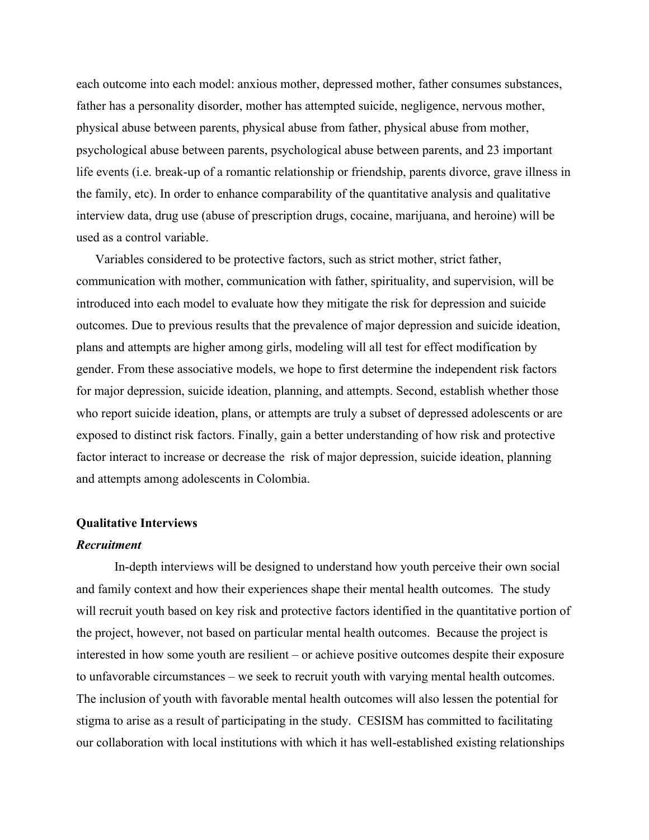each outcome into each model: anxious mother, depressed mother, father consumes substances, father has a personality disorder, mother has attempted suicide, negligence, nervous mother, physical abuse between parents, physical abuse from father, physical abuse from mother, psychological abuse between parents, psychological abuse between parents, and 23 important life events (i.e. break-up of a romantic relationship or friendship, parents divorce, grave illness in the family, etc). In order to enhance comparability of the quantitative analysis and qualitative interview data, drug use (abuse of prescription drugs, cocaine, marijuana, and heroine) will be used as a control variable.

Variables considered to be protective factors, such as strict mother, strict father, communication with mother, communication with father, spirituality, and supervision, will be introduced into each model to evaluate how they mitigate the risk for depression and suicide outcomes. Due to previous results that the prevalence of major depression and suicide ideation, plans and attempts are higher among girls, modeling will all test for effect modification by gender. From these associative models, we hope to first determine the independent risk factors for major depression, suicide ideation, planning, and attempts. Second, establish whether those who report suicide ideation, plans, or attempts are truly a subset of depressed adolescents or are exposed to distinct risk factors. Finally, gain a better understanding of how risk and protective factor interact to increase or decrease the risk of major depression, suicide ideation, planning and attempts among adolescents in Colombia.

### **Qualitative Interviews**

## *Recruitment*

In-depth interviews will be designed to understand how youth perceive their own social and family context and how their experiences shape their mental health outcomes. The study will recruit youth based on key risk and protective factors identified in the quantitative portion of the project, however, not based on particular mental health outcomes. Because the project is interested in how some youth are resilient – or achieve positive outcomes despite their exposure to unfavorable circumstances – we seek to recruit youth with varying mental health outcomes. The inclusion of youth with favorable mental health outcomes will also lessen the potential for stigma to arise as a result of participating in the study. CESISM has committed to facilitating our collaboration with local institutions with which it has well-established existing relationships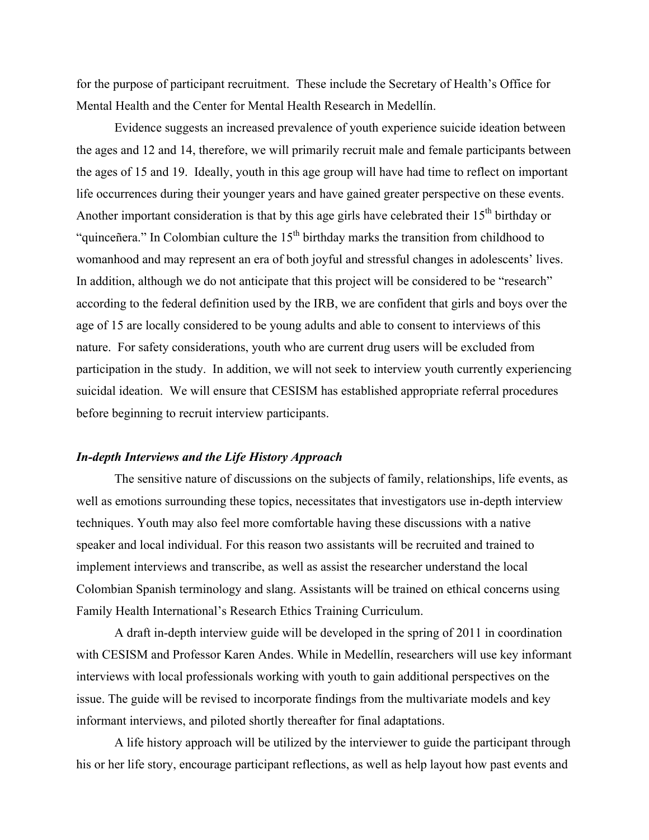for the purpose of participant recruitment. These include the Secretary of Health's Office for Mental Health and the Center for Mental Health Research in Medellín.

Evidence suggests an increased prevalence of youth experience suicide ideation between the ages and 12 and 14, therefore, we will primarily recruit male and female participants between the ages of 15 and 19. Ideally, youth in this age group will have had time to reflect on important life occurrences during their younger years and have gained greater perspective on these events. Another important consideration is that by this age girls have celebrated their  $15<sup>th</sup>$  birthday or "quinceñera." In Colombian culture the  $15<sup>th</sup>$  birthday marks the transition from childhood to womanhood and may represent an era of both joyful and stressful changes in adolescents' lives. In addition, although we do not anticipate that this project will be considered to be "research" according to the federal definition used by the IRB, we are confident that girls and boys over the age of 15 are locally considered to be young adults and able to consent to interviews of this nature. For safety considerations, youth who are current drug users will be excluded from participation in the study. In addition, we will not seek to interview youth currently experiencing suicidal ideation. We will ensure that CESISM has established appropriate referral procedures before beginning to recruit interview participants.

### *In-depth Interviews and the Life History Approach*

The sensitive nature of discussions on the subjects of family, relationships, life events, as well as emotions surrounding these topics, necessitates that investigators use in-depth interview techniques. Youth may also feel more comfortable having these discussions with a native speaker and local individual. For this reason two assistants will be recruited and trained to implement interviews and transcribe, as well as assist the researcher understand the local Colombian Spanish terminology and slang. Assistants will be trained on ethical concerns using Family Health International's Research Ethics Training Curriculum.

A draft in-depth interview guide will be developed in the spring of 2011 in coordination with CESISM and Professor Karen Andes. While in Medellín, researchers will use key informant interviews with local professionals working with youth to gain additional perspectives on the issue. The guide will be revised to incorporate findings from the multivariate models and key informant interviews, and piloted shortly thereafter for final adaptations.

A life history approach will be utilized by the interviewer to guide the participant through his or her life story, encourage participant reflections, as well as help layout how past events and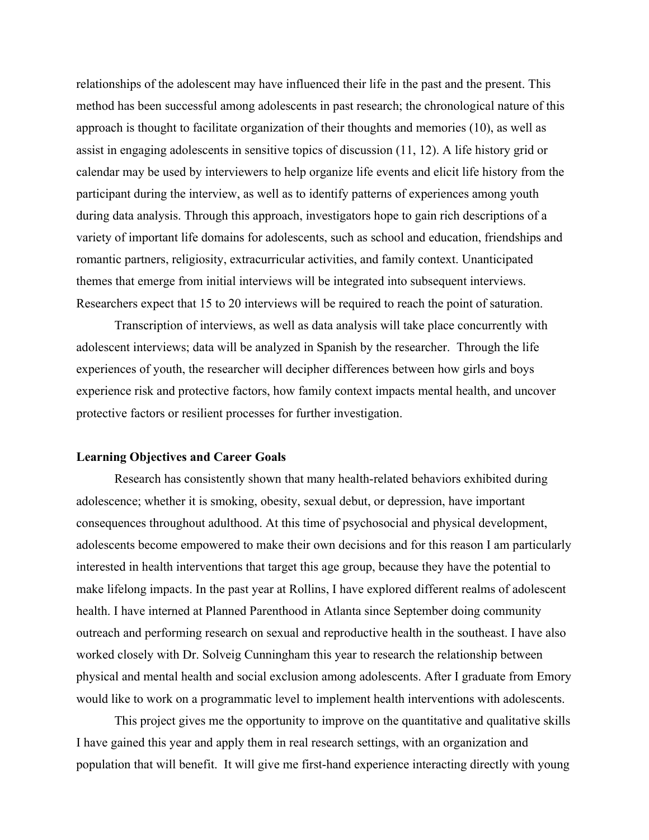relationships of the adolescent may have influenced their life in the past and the present. This method has been successful among adolescents in past research; the chronological nature of this approach is thought to facilitate organization of their thoughts and memories (10), as well as assist in engaging adolescents in sensitive topics of discussion (11, 12). A life history grid or calendar may be used by interviewers to help organize life events and elicit life history from the participant during the interview, as well as to identify patterns of experiences among youth during data analysis. Through this approach, investigators hope to gain rich descriptions of a variety of important life domains for adolescents, such as school and education, friendships and romantic partners, religiosity, extracurricular activities, and family context. Unanticipated themes that emerge from initial interviews will be integrated into subsequent interviews. Researchers expect that 15 to 20 interviews will be required to reach the point of saturation.

Transcription of interviews, as well as data analysis will take place concurrently with adolescent interviews; data will be analyzed in Spanish by the researcher. Through the life experiences of youth, the researcher will decipher differences between how girls and boys experience risk and protective factors, how family context impacts mental health, and uncover protective factors or resilient processes for further investigation.

### **Learning Objectives and Career Goals**

Research has consistently shown that many health-related behaviors exhibited during adolescence; whether it is smoking, obesity, sexual debut, or depression, have important consequences throughout adulthood. At this time of psychosocial and physical development, adolescents become empowered to make their own decisions and for this reason I am particularly interested in health interventions that target this age group, because they have the potential to make lifelong impacts. In the past year at Rollins, I have explored different realms of adolescent health. I have interned at Planned Parenthood in Atlanta since September doing community outreach and performing research on sexual and reproductive health in the southeast. I have also worked closely with Dr. Solveig Cunningham this year to research the relationship between physical and mental health and social exclusion among adolescents. After I graduate from Emory would like to work on a programmatic level to implement health interventions with adolescents.

This project gives me the opportunity to improve on the quantitative and qualitative skills I have gained this year and apply them in real research settings, with an organization and population that will benefit. It will give me first-hand experience interacting directly with young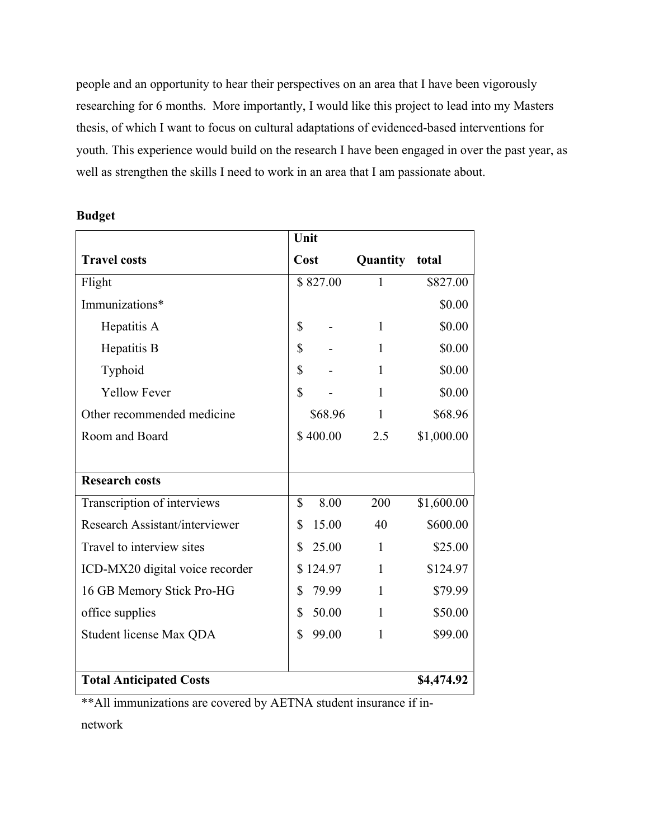people and an opportunity to hear their perspectives on an area that I have been vigorously researching for 6 months. More importantly, I would like this project to lead into my Masters thesis, of which I want to focus on cultural adaptations of evidenced-based interventions for youth. This experience would build on the research I have been engaged in over the past year, as well as strengthen the skills I need to work in an area that I am passionate about.

|                                 | Unit         |              |            |
|---------------------------------|--------------|--------------|------------|
| <b>Travel costs</b>             | Cost         | Quantity     | total      |
| Flight                          | \$827.00     | $\mathbf{1}$ | \$827.00   |
| Immunizations*                  |              |              | \$0.00     |
| Hepatitis A                     | \$           | 1            | \$0.00     |
| Hepatitis B                     | \$           | 1            | \$0.00     |
| Typhoid                         | \$           | $\mathbf{1}$ | \$0.00     |
| <b>Yellow Fever</b>             | \$           | 1            | \$0.00     |
| Other recommended medicine      | \$68.96      | 1            | \$68.96    |
| Room and Board                  | \$400.00     | 2.5          | \$1,000.00 |
|                                 |              |              |            |
| <b>Research costs</b>           |              |              |            |
| Transcription of interviews     | \$<br>8.00   | 200          | \$1,600.00 |
| Research Assistant/interviewer  | \$<br>15.00  | 40           | \$600.00   |
| Travel to interview sites       | \$<br>25.00  | 1            | \$25.00    |
| ICD-MX20 digital voice recorder | 124.97<br>\$ | 1            | \$124.97   |
| 16 GB Memory Stick Pro-HG       | \$<br>79.99  | $\mathbf{1}$ | \$79.99    |
| office supplies                 | \$<br>50.00  | 1            | \$50.00    |
| Student license Max QDA         | \$<br>99.00  | 1            | \$99.00    |
|                                 |              |              |            |
| <b>Total Anticipated Costs</b>  |              |              | \$4,474.92 |

## **Budget**

\*\*All immunizations are covered by AETNA student insurance if in-

network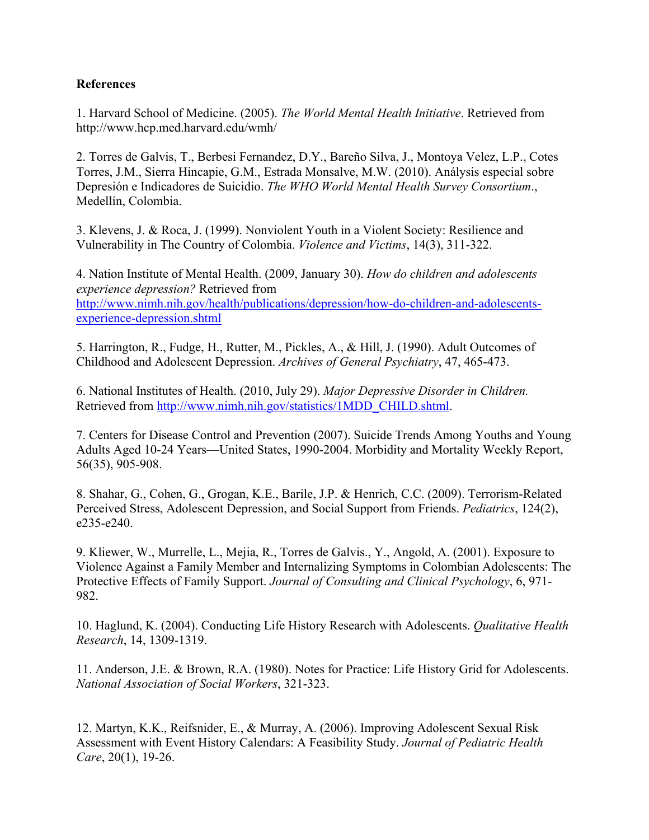## **References**

1. Harvard School of Medicine. (2005). *The World Mental Health Initiative*. Retrieved from http://www.hcp.med.harvard.edu/wmh/

2. Torres de Galvis, T., Berbesi Fernandez, D.Y., Bareño Silva, J., Montoya Velez, L.P., Cotes Torres, J.M., Sierra Hincapie, G.M., Estrada Monsalve, M.W. (2010). Análysis especial sobre Depresión e Indicadores de Suicidio. *The WHO World Mental Health Survey Consortium*., Medellín, Colombia.

3. Klevens, J. & Roca, J. (1999). Nonviolent Youth in a Violent Society: Resilience and Vulnerability in The Country of Colombia. *Violence and Victims*, 14(3), 311-322.

4. Nation Institute of Mental Health. (2009, January 30). *How do children and adolescents experience depression?* Retrieved from http://www.nimh.nih.gov/health/publications/depression/how-do-children-and-adolescentsexperience-depression.shtml

5. Harrington, R., Fudge, H., Rutter, M., Pickles, A., & Hill, J. (1990). Adult Outcomes of Childhood and Adolescent Depression. *Archives of General Psychiatry*, 47, 465-473.

6. National Institutes of Health. (2010, July 29). *Major Depressive Disorder in Children.*  Retrieved from http://www.nimh.nih.gov/statistics/1MDD\_CHILD.shtml.

7. Centers for Disease Control and Prevention (2007). Suicide Trends Among Youths and Young Adults Aged 10-24 Years—United States, 1990-2004. Morbidity and Mortality Weekly Report, 56(35), 905-908.

8. Shahar, G., Cohen, G., Grogan, K.E., Barile, J.P. & Henrich, C.C. (2009). Terrorism-Related Perceived Stress, Adolescent Depression, and Social Support from Friends. *Pediatrics*, 124(2), e235-e240.

9. Kliewer, W., Murrelle, L., Mejia, R., Torres de Galvis., Y., Angold, A. (2001). Exposure to Violence Against a Family Member and Internalizing Symptoms in Colombian Adolescents: The Protective Effects of Family Support. *Journal of Consulting and Clinical Psychology*, 6, 971- 982.

10. Haglund, K. (2004). Conducting Life History Research with Adolescents. *Qualitative Health Research*, 14, 1309-1319.

11. Anderson, J.E. & Brown, R.A. (1980). Notes for Practice: Life History Grid for Adolescents. *National Association of Social Workers*, 321-323.

12. Martyn, K.K., Reifsnider, E., & Murray, A. (2006). Improving Adolescent Sexual Risk Assessment with Event History Calendars: A Feasibility Study. *Journal of Pediatric Health Care*, 20(1), 19-26.